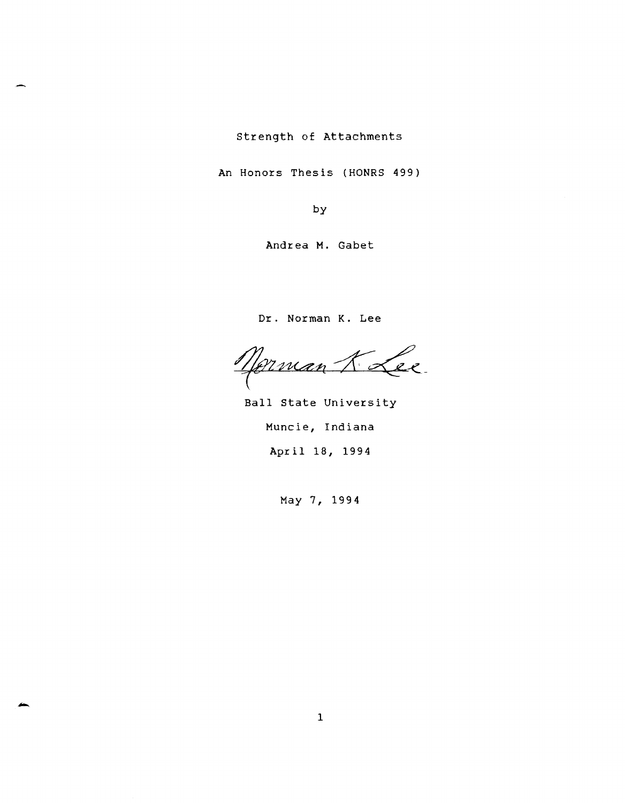strength of Attachments

An Honors Thesis (HONRS 499)

by

Andrea M. Gabet

Dr. Norman K. Lee

Norman 7 Lee

Ball state University Muncie, Indiana April 18, 1994

May 7, 1994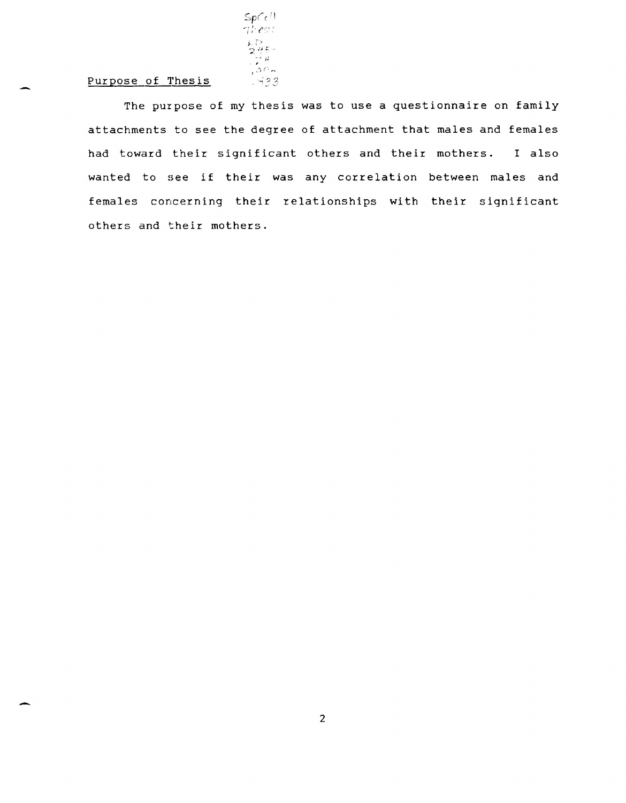# Purpose of Thesis

-

-

The purpose of my thesis was to use a questionnaire on family attachments to see the degree of attachment that males and females had toward their significant others and their mothers. I also wanted to see if their was any correlation between males and females concerning their relationships with their significant others and their mothers.

 ${\sf SpCe^{11}}$ ';' : (", . > : <sup>&</sup>gt; ? *at..'* 

 $.533$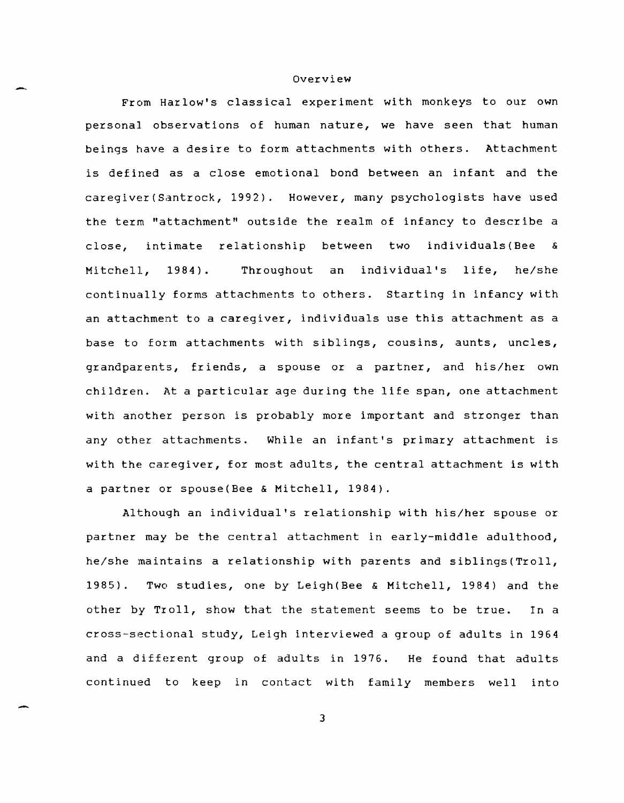#### Overview

From Harlow's classical experiment with monkeys to our own personal observations of human nature, we have seen that human beings have a desire to form attachments with others. Attachment is defined as a close emotional bond between an infant and the caregiver(Santrock, 1992). However, many psychologists have used the term "attachment" outside the realm of infancy to describe a close, intimate relationship between two individuals(Bee & Mitchell, 1984). Throughout an individual's life, he/she continually forms attachments to others. Starting in infancy with an attachment to a caregiver, individuals use this attachment as a base to form attachments with siblings, cousins, aunts, uncles, grandparents, friends, a spouse or a partner, and his/her own children. At a particular age during the life span, one attachment with another person is probably more important and stronger than any other attachments. While an infant's primary attachment is with the caregiver, for most adults, the central attachment is with a partner or spouse(Bee & Mitchell, 1984).

Although an individual's relationship with his/her spouse or partner may be the central attachment in early-middle adulthood, he/she maintains a relationship with parents and siblings(Troll, 1985). Two studies, one by Leigh(Bee & Mitchell, 1984) and the other by Troll, show that the statement seems to be true. In a cross-sectional study, Leigh interviewed a group of adults in 1964 and a different group of adults in 1976. He found that adults continued to keep in contact with family members well into

3

-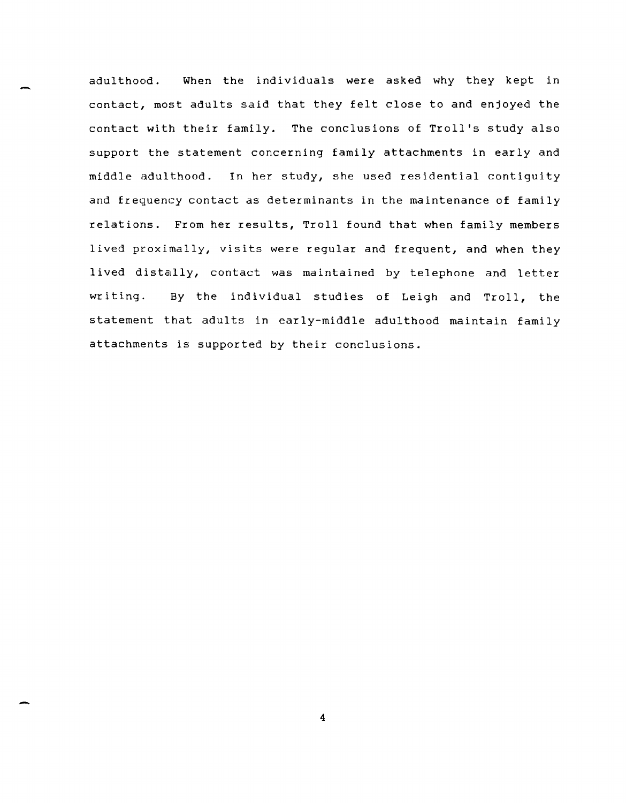adulthood. When the individuals were asked why they kept in contact, most adults said that they felt close to and enjoyed the contact with their family. The conclusions of Troll's study also support the statement concerning family attachments in early and middle adulthood. In her study, she used residential contiguity and frequency contact as determinants in the maintenance of family relations. From her results, Troll found that when family members lived proximally, visits were regular and frequent, and when they lived distally, contact was maintained by telephone and letter writing. By the individual studies of Leigh and Troll, the statement that adults in early-middle adulthood maintain family attachments is supported by their conclusions.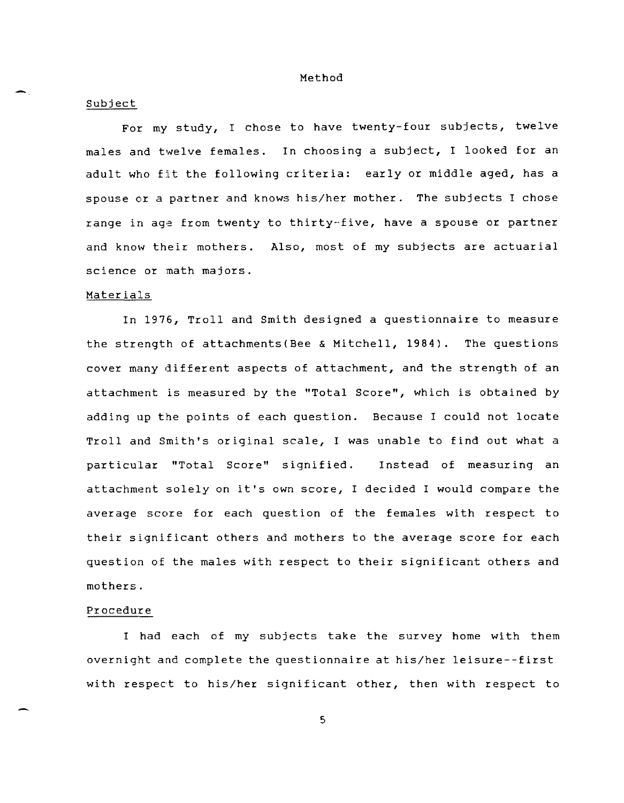Method

#### Subject

For. my study, I chose to have twenty-four subjects, twelve males and twelve females. In choosing a subject, I looked for an adult who fit the following criteria: early or middle aged, has a spouse or a partner and knows his/her mother. The subjects I chose range in age from twenty to thirty-five, have a spouse or partner and know their mothers. Also, most of my subjects are actuarial science or math majors.

#### Materials

In 1976, Troll and Smith designed a questionnaire to measure the strength of attachments(Bee & Mitchell, 1984). The questions cover many different aspects of attachment, and the strength of an attachment is measured by the "Total Score", which is obtained by adding up the points of each question. Because I could not locate Troll and Smith's original scale, I was unable to find out what a particular "Total Score" signified. Instead of measuring an attachment solely on it's own score, I decided I would compare the average score for each question of the females with respect to their significant others and mothers to the average score for each question of the males with respect to their significant others and mothers.

### Procedure

I had each of my subjects take the survey home with them overnight and complete the questionnaire at his/her leisure--first with respect to his/her significant other, then with respect to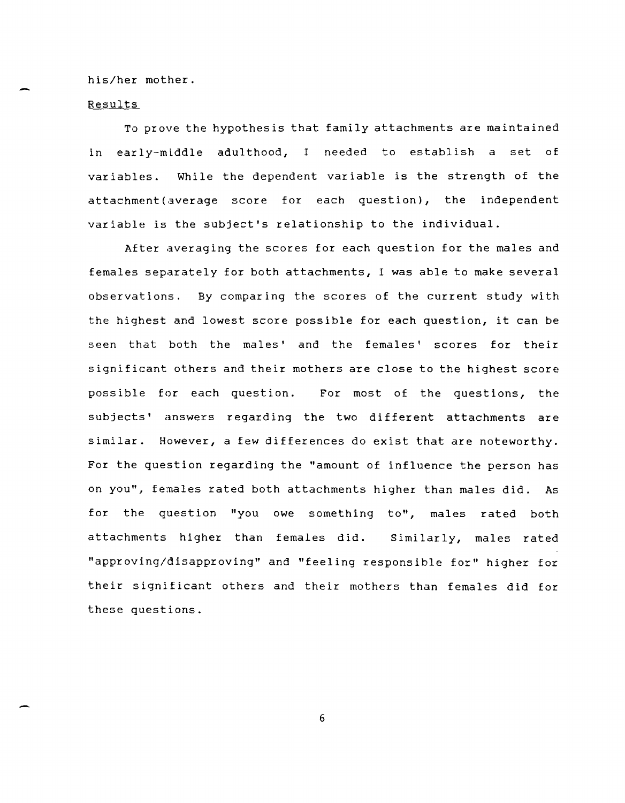his/her mother.

## Results

To prove the hypothesis that family attachments are maintained in early-middle adulthood, I needed to establish a set of variables. While the dependent variable is the strength of the attachment(average score for each question), the independent variable is the subject's relationship to the individual.

After averaging the scores for each question for the males and females separately for both attachments, I was able to make several observations. By comparing the scores of the current study with the highest and lowest score possible for each question, it can be seen that both the males' and the females' scores for their significant others and their mothers are close to the highest score possible for each question. For most of the questions, the subjects' answers regarding the two different attachments are similar. However, a few differences do exist that are noteworthy. For the question regarding the "amount of influence the person has on you", females rated both attachments higher than males did. As for the question "you owe something to", males rated both attachments higher than females did. Similarly, males rated "approving/disapproving" and "feeling responsible for" higher for their significant others and their mothers than females did for these questions.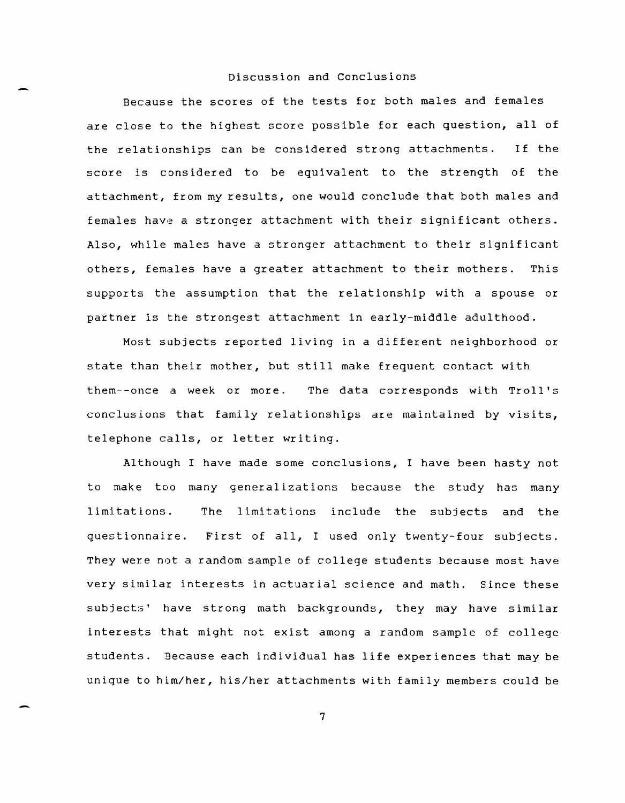# Discussion and Conclusions

Because the scores of the tests for both males and females are close to the highest score possible for each question, all of the relationships can be considered strong attachments. If the score is considered to be equivalent to the strength of the attachment, from my results, one would conclude that both males and females have a stronger attachment with their significant others. Also, while males have a stronger attachment to their significant others, females have a greater attachment to their mothers. This supports the assumption that the relationship with a spouse or partner is the strongest attachment in early-middle adulthood.

Most subjects reported living in a different neighborhood or state than their mother, but still make frequent contact with them--once a week or more. The data corresponds with Troll's conclusions that family relationships are maintained by visits, telephone calls, or letter writing.

Although I have made some conclusions, I have been hasty not to make too many generalizations because the study has many limitations. questionnaire. First of all, I used only twenty-four subjects. The limitations include the subjects and the They were not a random sample of college students because most have very similar interests in actuarial science and math. Since these subjects' have strong math backgrounds, they may have similar interests that might not exist among a random sample of college students. Because each individual has life experiences that may be unique to him/her, his/her attachments with family members could be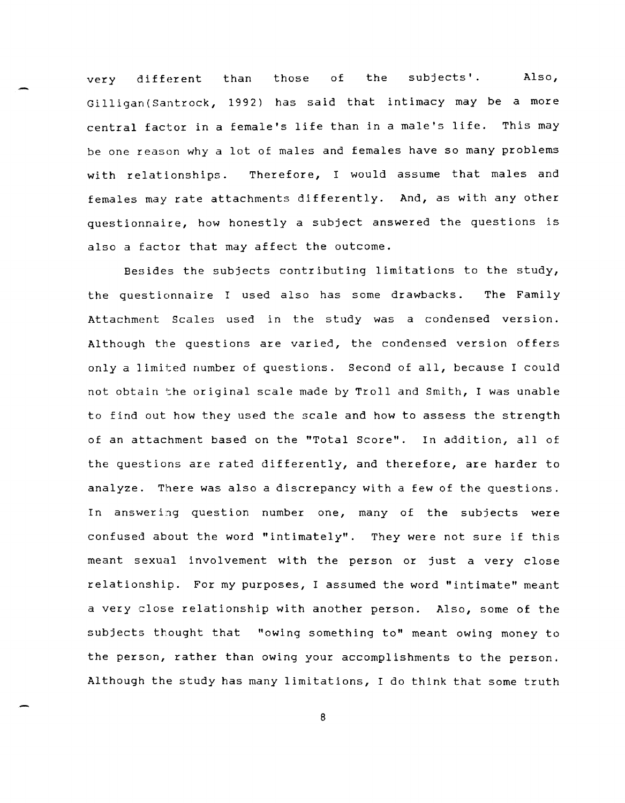very different than those of the subjects'. Also, Gilligan(Santrock, 1992) has said that intimacy may be a more central factor in a female's life than in a male's life. This may be one reason why a lot of males and females have so many problems with relationships. Therefore, I would assume that males and females may rate attachments differently. And, as with any other questionnaire, how honestly a subject answered the questions is also a factor that may affect the outcome.

Besides the subjects contributing limitations to the study, the questionnaire I used also has some drawbacks. The Family Attachment Scales used in the study was a condensed version. Although the questions are varied, the condensed version offers only a limited number of questions. Second of all, because I could not obtain the original scale made by Troll and Smith, I was unable to find out how they used the scale and how to assess the strength of an attachment based on the "Total Score". In addition, all of the questions are rated differently, and therefore, are harder to analyze. There was also a discrepancy with a few of the questions. In answering question number one, many of the subjects were confused about the word "intimately". They were not sure if this meant sexual involvement with the person or just a very close relationship. For my purposes, I assumed the word "intimate" meant a very close relationship with another person. Also, some of the subjects thought that "owing something to" meant owing money to the person, rather than owing your accomplishments to the person. Although the study has many limitations, I do think that some truth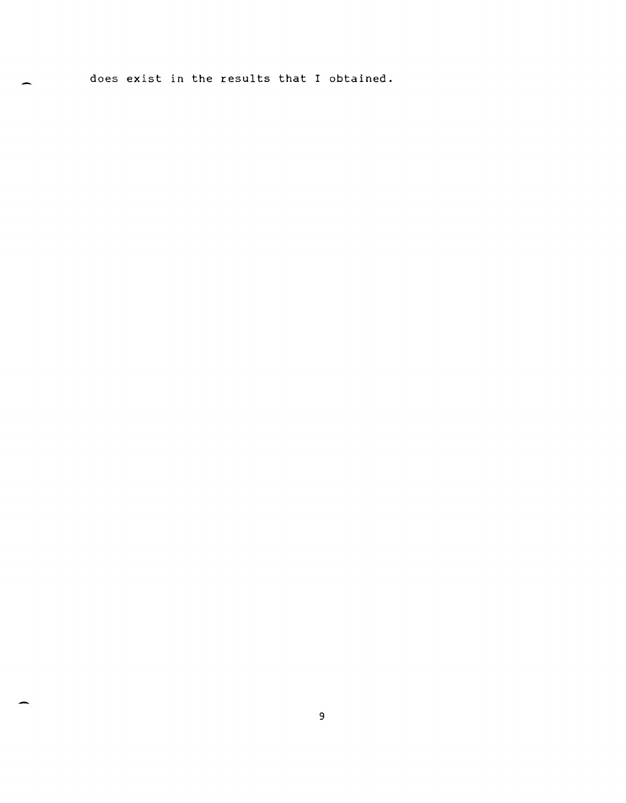does exist in the results that I obtained.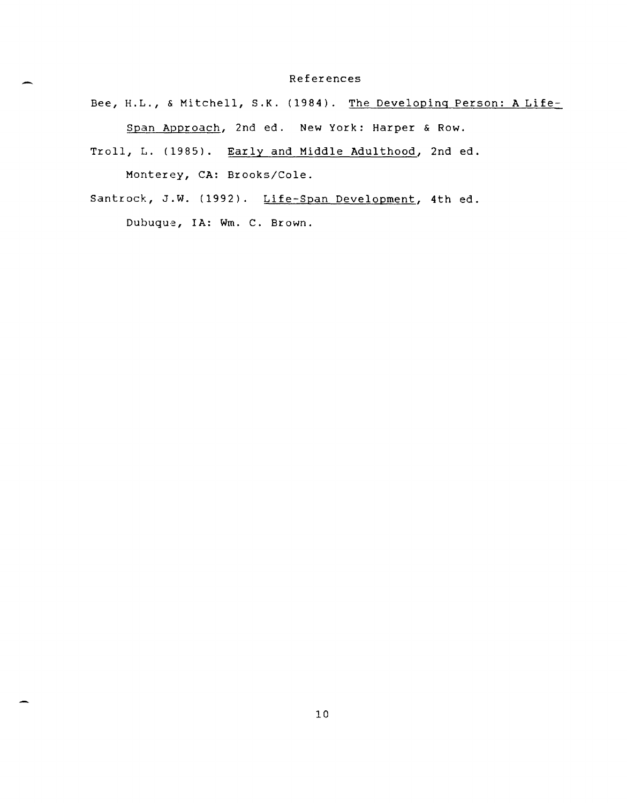#### References

Bee, H.L., & Mitchell, S.K. (1984). The Developing Person: A Life-

Span Approach, 2nd ed. New York: Harper & Row.

- Troll, L. (1985). Early and Middle Adulthood, 2nd ed. Monterey, CA: Brooks/Cole.
- Santrock, J.W. (1992). Life-Span Development, 4th ed. Dubuque, IA: Wm. C. Brown.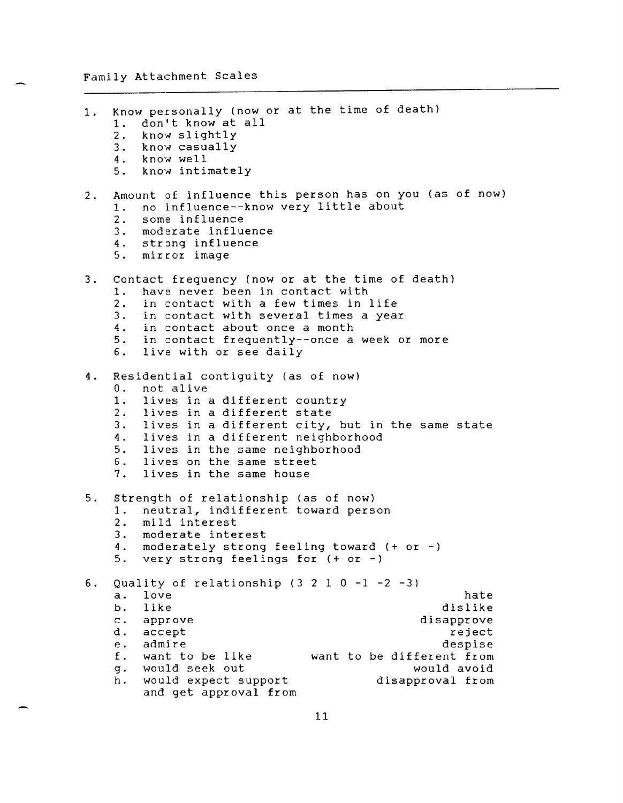| 1.    | Know personally (now or at the time of death)<br>1. don't know at all<br>2. know slightly<br>3. know casually<br>4. know well<br>5. know intimately                                                                                                                                                                                                                 |
|-------|---------------------------------------------------------------------------------------------------------------------------------------------------------------------------------------------------------------------------------------------------------------------------------------------------------------------------------------------------------------------|
| $2 -$ | Amount of influence this person has on you (as of now)<br>no influence--know very little about<br>1.<br>2. some influence<br>3. moderate influence<br>4. strong influence<br>5. mirror image                                                                                                                                                                        |
| $3 -$ | Contact frequency (now or at the time of death)<br>have never been in contact with<br>1.<br>2. in contact with a few times in life<br>3. in contact with several times a year<br>4. in contact about once a month<br>5. in contact frequently--once a week or more<br>6. live with or see daily                                                                     |
| 4.    | Residential contiguity (as of now)<br>not alive<br>0.<br>1. lives in a different country<br>2. lives in a different state<br>3. lives in a different city, but in the same state<br>4. lives in a different neighborhood<br>5. lives in the same neighborhood<br>6. lives on the same street<br>7. lives in the same house                                          |
| 5.    | Strength of relationship (as of now)<br>neutral, indifferent toward person<br>1.<br>2. mild interest<br>3. moderate interest<br>4. moderately strong feeling toward (+ or -)<br>very strong feelings for $(+ or -)$<br>5.                                                                                                                                           |
| 6.    | Quality of relationship $(3 2 1 0 -1 -2 -3)$<br>love<br>hate<br>a.<br>like<br>dislike<br>b.<br>disapprove<br>$\mathsf{C}$ .<br>approve<br>d.<br>accept<br>reject<br>admire<br>despise<br>е.<br>f.<br>want to be like<br>want to be different from<br>would seek out<br>would avoid<br>g.<br>would expect support<br>h.<br>disapproval from<br>and get approval from |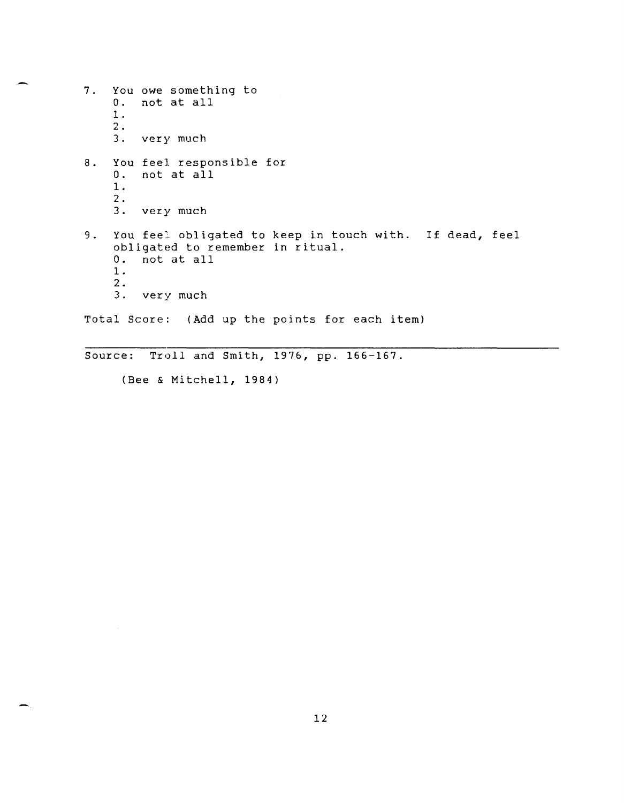7. You owe something to O. not at all 1.  $\frac{2}{3}$ . very much 8. You feel responsible for 0. not at all 1-  $\frac{2}{3}$ . very much 9. You feel obligated to keep in touch with. If dead, feel obligated to remember in ritual. O. not at all 1. 2. 3. very much Total Score: (Add up the points for each item)

Source: Troll and Smith, 1976, pp. 166-167.

(Bee & Mitchell, 1984)